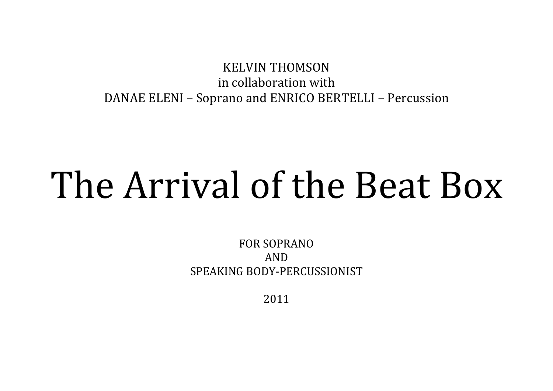**KELVIN THOMSON** in collaboration with DANAE ELENI - Soprano and ENRICO BERTELLI - Percussion

# The Arrival of the Beat Box

**FOR SOPRANO AND** SPEAKING BODY-PERCUSSIONIST

2011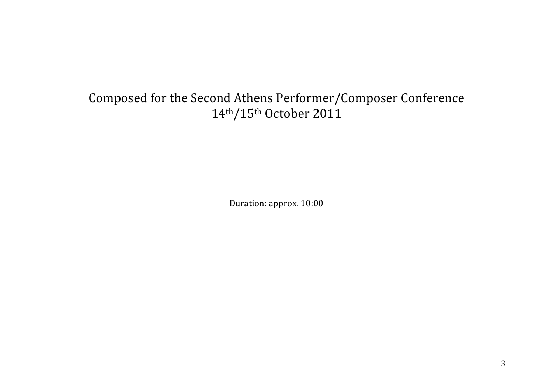# Composed for the Second Athens Performer/Composer Conference 14th/15th October 2011

Duration: approx. 10:00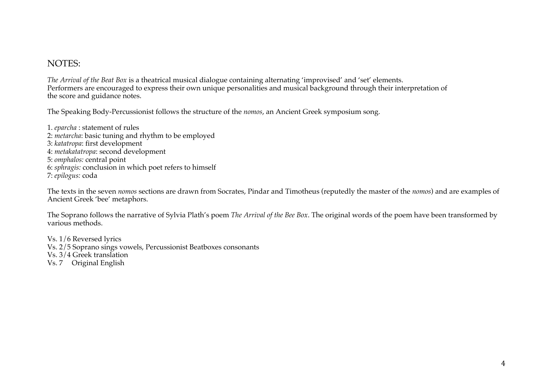# NOTES:

*The Arrival of the Beat Box* is a theatrical musical dialogue containing alternating 'improvised' and 'set' elements. Performers are encouraged to express their own unique personalities and musical background through their interpretation of the score and guidance notes.

The Speaking Body-Percussionist follows the structure of the *nomos*, an Ancient Greek symposium song.

1. *eparcha* : statement of rules 2: *metarcha*: basic tuning and rhythm to be employed 3: *katatropa*: first development 4: *metakatatropa*: second development 5: *omphalos:* central point 6: *sphragis:* conclusion in which poet refers to himself 7: *epilogus:* coda

The texts in the seven *nomos* sections are drawn from Socrates, Pindar and Timotheus (reputedly the master of the *nomos*) and are examples of Ancient Greek 'bee' metaphors.

The Soprano follows the narrative of Sylvia Plath's poem *The Arrival of the Bee Box*. The original words of the poem have been transformed by various methods.

- Vs. 1/6 Reversed lyrics Vs. 2/5 Soprano sings vowels, Percussionist Beatboxes consonants Vs. 3/4 Greek translation
- Vs. 7 Original English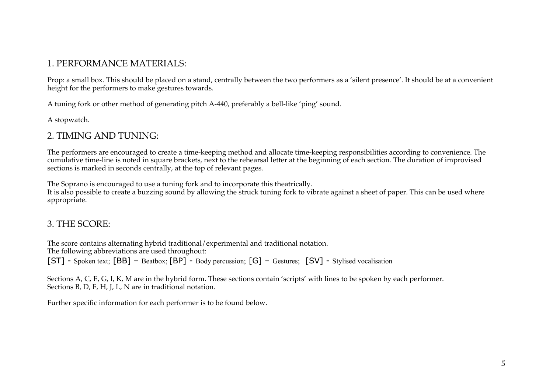# 1. PERFORMANCE MATERIALS:

Prop: a small box. This should be placed on a stand, centrally between the two performers as a 'silent presence'. It should be at a convenient height for the performers to make gestures towards.

A tuning fork or other method of generating pitch A-440, preferably a bell-like 'ping' sound.

A stopwatch.

# 2. TIMING AND TUNING:

The performers are encouraged to create a time-keeping method and allocate time-keeping responsibilities according to convenience. The cumulative time-line is noted in square brackets, next to the rehearsal letter at the beginning of each section. The duration of improvised sections is marked in seconds centrally, at the top of relevant pages.

The Soprano is encouraged to use a tuning fork and to incorporate this theatrically.

It is also possible to create a buzzing sound by allowing the struck tuning fork to vibrate against a sheet of paper. This can be used where appropriate.

# 3. THE SCORE:

The score contains alternating hybrid traditional/experimental and traditional notation. The following abbreviations are used throughout:

[ST] - Spoken text; [BB] – Beatbox; [BP] - Body percussion; [G] – Gestures; [SV] - Stylised vocalisation

Sections A, C, E, G, I, K, M are in the hybrid form. These sections contain 'scripts' with lines to be spoken by each performer. Sections B, D, F, H, J, L, N are in traditional notation.

Further specific information for each performer is to be found below.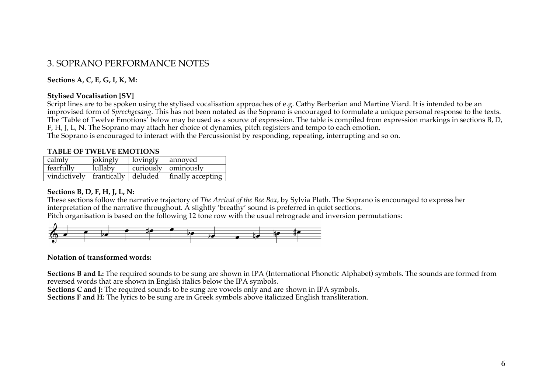# 3. SOPRANO PERFORMANCE NOTES

# **Sections A, C, E, G, I, K, M:**

## **Stylised Vocalisation [SV]**

Script lines are to be spoken using the stylised vocalisation approaches of e.g. Cathy Berberian and Martine Viard. It is intended to be an improvised form of *Sprechgesang*. This has not been notated as the Soprano is encouraged to formulate a unique personal response to the texts. The 'Table of Twelve Emotions' below may be used as a source of expression. The table is compiled from expression markings in sections B, D, F, H, J, L, N. The Soprano may attach her choice of dynamics, pitch registers and tempo to each emotion.

The Soprano is encouraged to interact with the Percussionist by responding, repeating, interrupting and so on.

#### **TABLE OF TWELVE EMOTIONS**

| calmly                               | jokingly | lovingly | annoved               |
|--------------------------------------|----------|----------|-----------------------|
| fearfully                            | lullaby  |          | curiously   ominously |
| vindictively   frantically   deluded |          |          | finally accepting     |

## **Sections B, D, F, H, J, L, N:**

These sections follow the narrative trajectory of *The Arrival of the Bee Box*, by Sylvia Plath. The Soprano is encouraged to express her interpretation of the narrative throughout. A slightly 'breathy' sound is preferred in quiet sections. Pitch organisation is based on the following 12 tone row with the usual retrograde and inversion permutations:



### **Notation of transformed words:**

**Sections B and L:** The required sounds to be sung are shown in IPA (International Phonetic Alphabet) symbols. The sounds are formed from reversed words that are shown in English italics below the IPA symbols.

**Sections C and J:** The required sounds to be sung are vowels only and are shown in IPA symbols.

**Sections F and H:** The lyrics to be sung are in Greek symbols above italicized English transliteration.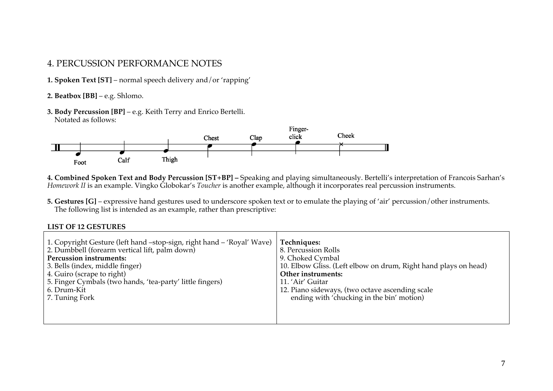# 4. PERCUSSION PERFORMANCE NOTES

- **1. Spoken Text [ST]**  normal speech delivery and/or 'rapping'
- **2. Beatbox [BB]**  e.g. Shlomo.
- **3. Body Percussion [BP]**  e.g. Keith Terry and Enrico Bertelli. Notated as follows:



**4. Combined Spoken Text and Body Percussion [ST+BP] –** Speaking and playing simultaneously. Bertelli's interpretation of Francois Sarhan's *Homework II* is an example. Vingko Globokar's *Toucher* is another example, although it incorporates real percussion instruments.

**5. Gestures [G]** – expressive hand gestures used to underscore spoken text or to emulate the playing of 'air' percussion/other instruments. The following list is intended as an example, rather than prescriptive:

#### **LIST OF 12 GESTURES**

| 1. Copyright Gesture (left hand -stop-sign, right hand - 'Royal' Wave) | Techniques:                                                     |
|------------------------------------------------------------------------|-----------------------------------------------------------------|
| 2. Dumbbell (forearm vertical lift, palm down)                         | 8. Percussion Rolls                                             |
| <b>Percussion instruments:</b>                                         | 9. Choked Cymbal                                                |
| 3. Bells (index, middle finger)                                        | 10. Elbow Gliss. (Left elbow on drum, Right hand plays on head) |
| 4. Guiro (scrape to right)                                             | Other instruments:                                              |
| 5. Finger Cymbals (two hands, 'tea-party' little fingers)              | 11. 'Air' Guitar                                                |
| 6. Drum-Kit                                                            | 12. Piano sideways, (two octave ascending scale                 |
| 7. Tuning Fork                                                         | ending with 'chucking in the bin' motion)                       |
|                                                                        |                                                                 |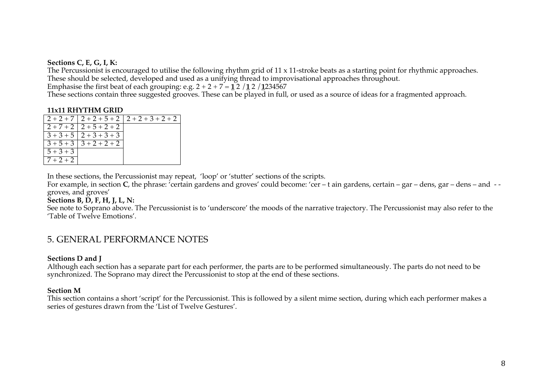# **Sections C, E, G, I, K:**

The Percussionist is encouraged to utilise the following rhythm grid of 11 x 11-stroke beats as a starting point for rhythmic approaches. These should be selected, developed and used as a unifying thread to improvisational approaches throughout. Emphasise the first beat of each grouping: e.g.  $2 + 2 + 7 = 12 / 12 / 1234567$ 

These sections contain three suggested grooves. These can be played in full, or used as a source of ideas for a fragmented approach.

## **11x11 RHYTHM GRID**

|             |                         | $2+2+7$   2 + 2 + 5 + 2   2 + 2 + 3 + 2 + 2 |
|-------------|-------------------------|---------------------------------------------|
|             | $2+7+2$ $2+5+2+2$       |                                             |
|             | $3+3+5$   2 + 3 + 3 + 3 |                                             |
|             | $13+5+3$ $13+2+2+2$     |                                             |
| $15+3+3$    |                         |                                             |
| $7 + 2 + 2$ |                         |                                             |

In these sections, the Percussionist may repeat, 'loop' or 'stutter' sections of the scripts.

For example, in section **C**, the phrase: 'certain gardens and groves' could become: 'cer – t ain gardens, certain – gar – dens, gar – dens – and - groves, and groves'

# **Sections B, D, F, H, J, L, N:**

See note to Soprano above. The Percussionist is to 'underscore' the moods of the narrative trajectory. The Percussionist may also refer to the 'Table of Twelve Emotions'.

# 5. GENERAL PERFORMANCE NOTES

# **Sections D and J**

Although each section has a separate part for each performer, the parts are to be performed simultaneously. The parts do not need to be synchronized. The Soprano may direct the Percussionist to stop at the end of these sections.

# **Section M**

This section contains a short 'script' for the Percussionist. This is followed by a silent mime section, during which each performer makes a series of gestures drawn from the 'List of Twelve Gestures'.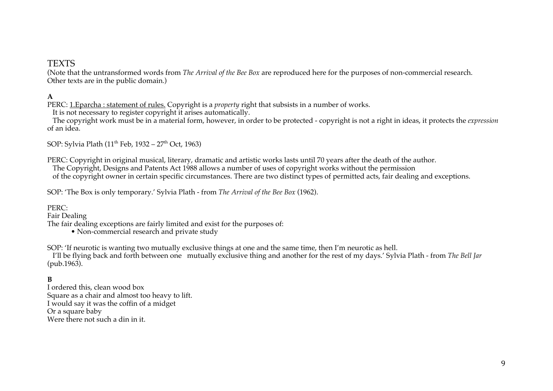# **TEXTS**

(Note that the untransformed words from *The Arrival of the Bee Box* are reproduced here for the purposes of non-commercial research. Other texts are in the public domain.)

# **A**

PERC: 1.Eparcha : statement of rules. Copyright is a *property* right that subsists in a number of works.

It is not necessary to register copyright it arises automatically.

 The copyright work must be in a material form, however, in order to be protected - copyright is not a right in ideas, it protects the *expression*  of an idea.

SOP: Sylvia Plath ( $11^{th}$  Feb,  $1932 - 27^{th}$  Oct, 1963)

PERC: Copyright in original musical, literary, dramatic and artistic works lasts until 70 years after the death of the author. The Copyright, Designs and Patents Act 1988 allows a number of uses of copyright works without the permission of the copyright owner in certain specific circumstances. There are two distinct types of permitted acts, fair dealing and exceptions.

SOP: 'The Box is only temporary.' Sylvia Plath - from *The Arrival of the Bee Box* (1962).

PERC:

Fair Dealing

The fair dealing exceptions are fairly limited and exist for the purposes of:

• Non-commercial research and private study

SOP: 'If neurotic is wanting two mutually exclusive things at one and the same time, then I'm neurotic as hell.

 I'll be flying back and forth between one mutually exclusive thing and another for the rest of my days.' Sylvia Plath - from *The Bell Jar*  (pub.1963).

#### **B**

I ordered this, clean wood box Square as a chair and almost too heavy to lift. I would say it was the coffin of a midget Or a square baby Were there not such a din in it.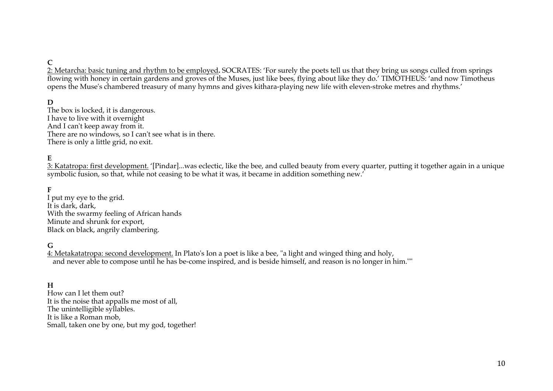# **C**

2: Metarcha: basic tuning and rhythm to be employed**.** SOCRATES: 'For surely the poets tell us that they bring us songs culled from springs flowing with honey in certain gardens and groves of the Muses, just like bees, flying about like they do.' TIMOTHEUS: 'and now Timotheus opens the Muse's chambered treasury of many hymns and gives kithara-playing new life with eleven-stroke metres and rhythms.'

### **D**

The box is locked, it is dangerous. I have to live with it overnight And I can't keep away from it. There are no windows, so I can't see what is in there. There is only a little grid, no exit.

#### **E**

3: Katatropa: first development. '[Pindar]...was eclectic, like the bee, and culled beauty from every quarter, putting it together again in a unique symbolic fusion, so that, while not ceasing to be what it was, it became in addition something new.'

#### **F**

I put my eye to the grid. It is dark, dark, With the swarmy feeling of African hands Minute and shrunk for export, Black on black, angrily clambering.

#### **G**

4: Metakatatropa: second development. In Plato's Ion a poet is like a bee, "a light and winged thing and holy, and never able to compose until he has be-come inspired, and is beside himself, and reason is no longer in him.""

#### **H**

How can I let them out? It is the noise that appalls me most of all, The unintelligible syllables. It is like a Roman mob, Small, taken one by one, but my god, together!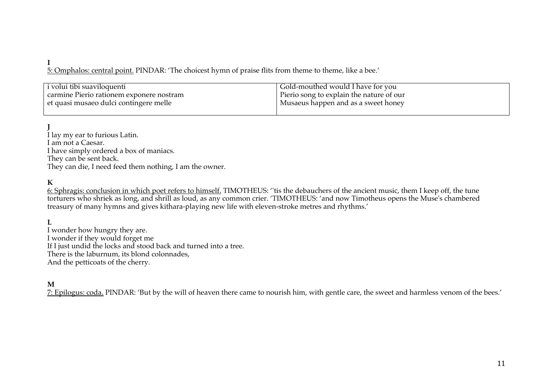**I** 5: Omphalos: central point. PINDAR: 'The choicest hymn of praise flits from theme to theme, like a bee.'

| <i>i</i> volui tibi suaviloquenti        |                                          |
|------------------------------------------|------------------------------------------|
|                                          | Gold-mouthed would I have for you        |
| carmine Pierio rationem exponere nostram | Pierio song to explain the nature of our |
| et quasi musaeo dulci contingere melle   | I Musaeus happen and as a sweet honey    |
|                                          |                                          |

**J** I lay my ear to furious Latin. I am not a Caesar. I have simply ordered a box of maniacs. They can be sent back. They can die, I need feed them nothing, I am the owner.

## **K**

6: Sphragis: conclusion in which poet refers to himself. TIMOTHEUS: ''tis the debauchers of the ancient music, them I keep off, the tune torturers who shriek as long, and shrill as loud, as any common crier. 'TIMOTHEUS: 'and now Timotheus opens the Muse's chambered treasury of many hymns and gives kithara-playing new life with eleven-stroke metres and rhythms.'

#### **L**

I wonder how hungry they are. I wonder if they would forget me If I just undid the locks and stood back and turned into a tree. There is the laburnum, its blond colonnades, And the petticoats of the cherry.

#### **M**

7: Epilogus: coda. PINDAR: 'But by the will of heaven there came to nourish him, with gentle care, the sweet and harmless venom of the bees.'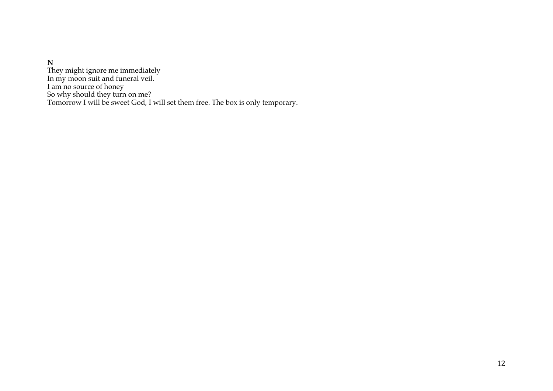## **N**

They might ignore me immediately In my moon suit and funeral veil. I am no source of honey So why should they turn on me? Tomorrow I will be sweet God, I will set them free. The box is only temporary.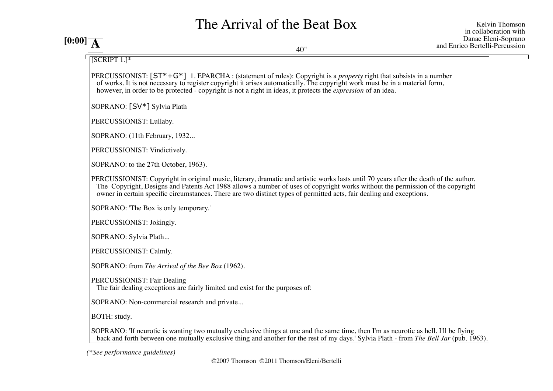# The Arrival of the Beat Box

Kelvin Thomson

 $\boxed{[0:00]\mathbf{A}}$ [SCRIPT 1.]\* PERCUSSIONIST: [ST\*+G\*] 1. EPARCHA : (statement of rules): Copyright is a *property* right that subsists in a number of works. It is not necessary to register copyright it arises automatically. The copyright work must be in a material form, however, in order to be protected - copyright is not a right in ideas, it protects the *expression* of an idea. SOPRANO: [SV\*] Sylvia Plath PERCUSSIONIST: Lullaby. SOPRANO: (11th February, 1932... PERCUSSIONIST: Vindictively. SOPRANO: to the 27th October, 1963). PERCUSSIONIST: Copyright in original music, literary, dramatic and artistic works lasts until 70 years after the death of the author. The Copyright, Designs and Patents Act 1988 allows a number of uses of copyright works without the permission of the copyright owner in certain specific circumstances. There are two distinct types of permitted acts, fair dealing and exceptions. SOPRANO: 'The Box is only temporary.' PERCUSSIONIST: Jokingly. SOPRANO: Sylvia Plath... PERCUSSIONIST: Calmly. SOPRANO: from *The Arrival of the Bee Box* (1962). PERCUSSIONIST: Fair Dealing The fair dealing exceptions are fairly limited and exist for the purposes of: SOPRANO: Non-commercial research and private... BOTH: study. SOPRANO: 'If neurotic is wanting two mutually exclusive things at one and the same time, then I'm as neurotic as hell. I'll be flying back and forth between one mutually exclusive thing and another for the rest of my days.' Sylvia Plath - from *The Bell Jar* (pub. 1963). 40" in collaboration with Danae Eleni-Soprano and Enrico Bertelli-Percussion

*(\*See performance guidelines)*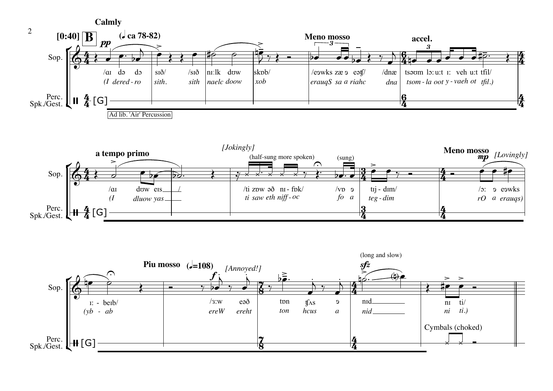

/ti zpw að ni - fpk/

ti saw eth niff - oc

 $tij - dm/$ 

 $teq$  -  $dim$ 

 $\sqrt{2}$ :  $\theta$  eawks

 $rO$  a eraugs)

 $/$ vp  $\theta$ 

 $\int$  *to*  $\alpha$ 



 $\overline{2}$ 

Perc.<br>Spk./Gest.

 $rac{4}{4}$ [G]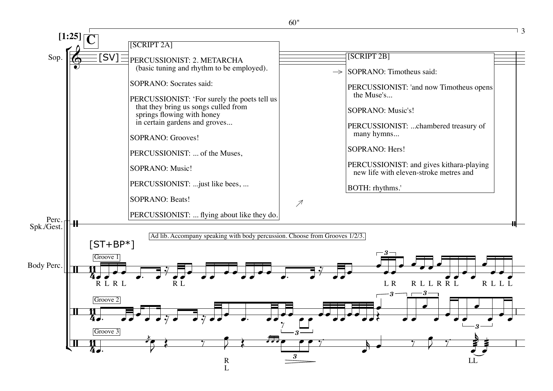

60"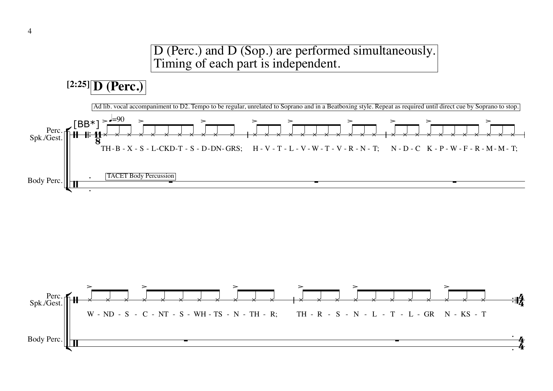# D (Perc.) and D (Sop.) are performed simultaneously. Timing of each part is independent.



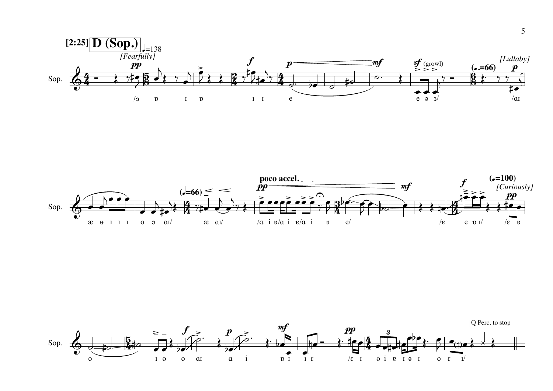



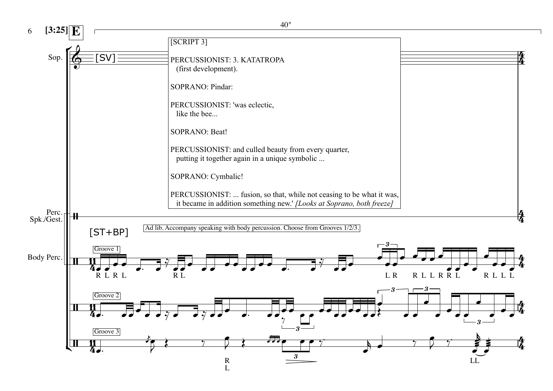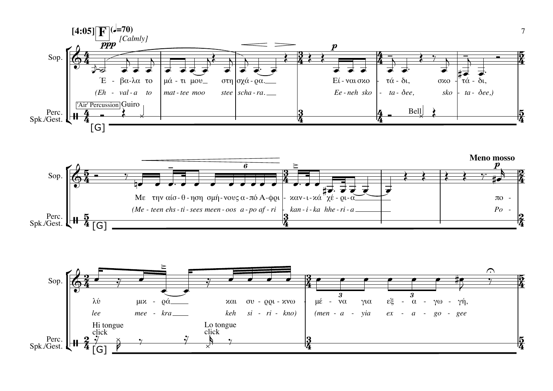



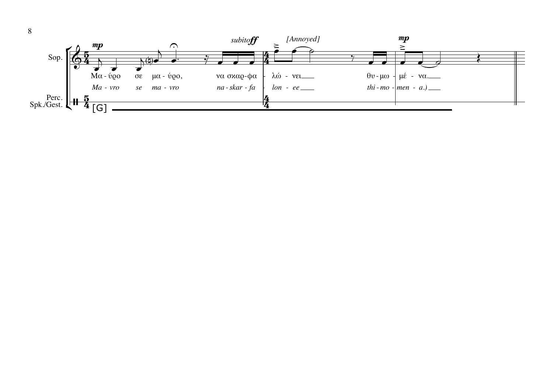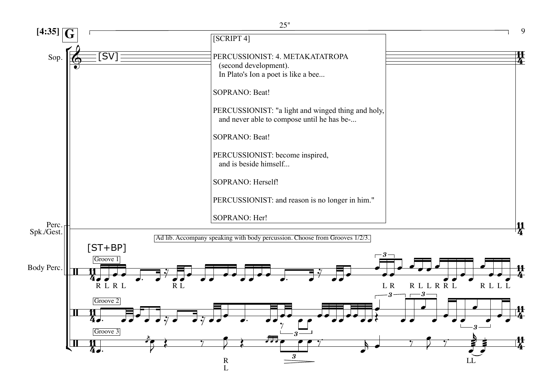

25"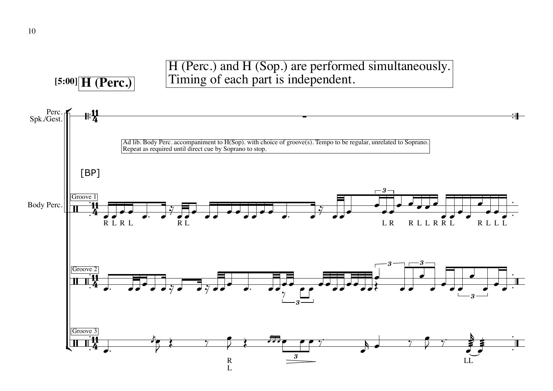# H (Perc.) and H (Sop.) are performed simultaneously. Timing of each part is independent.

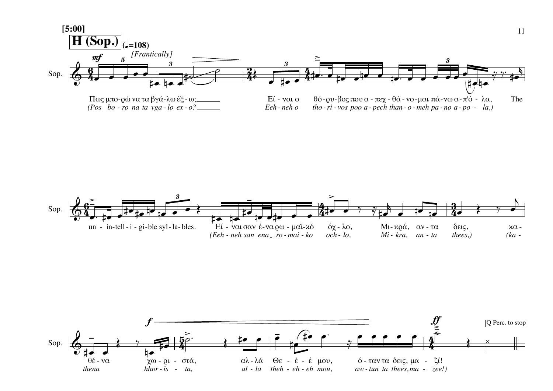



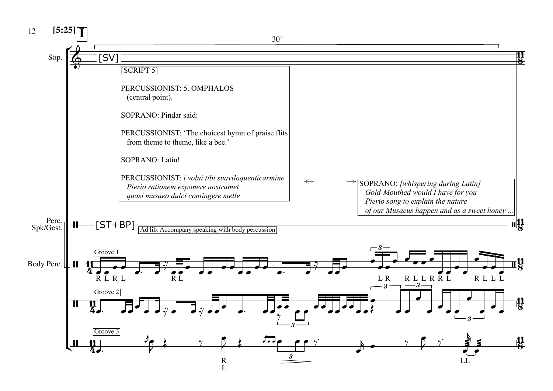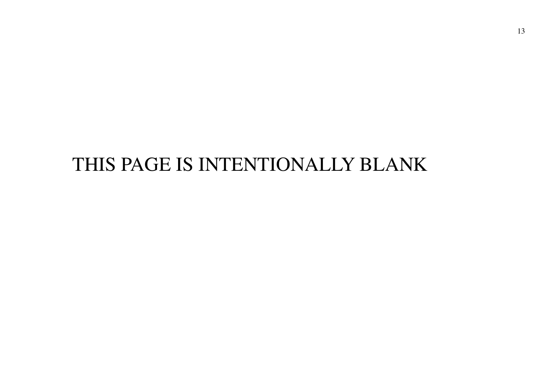# THIS PAGE IS INTENTIONALLY BLANK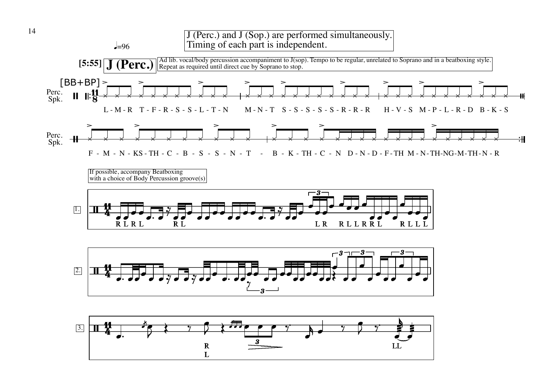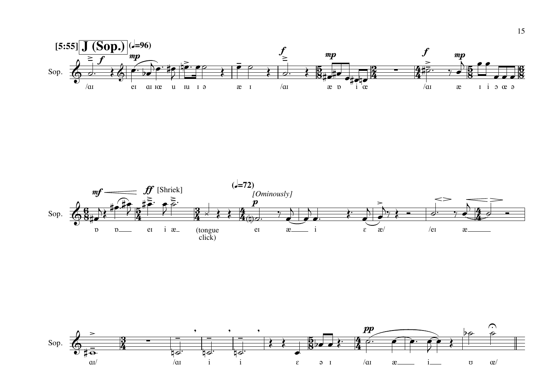



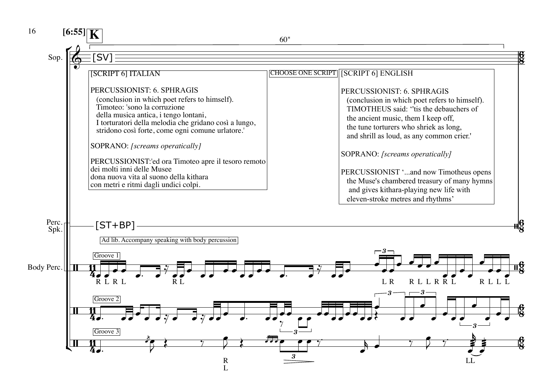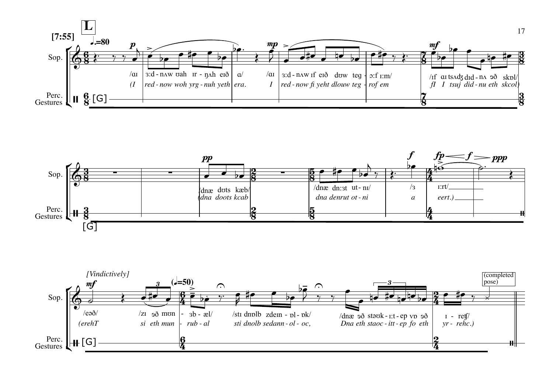



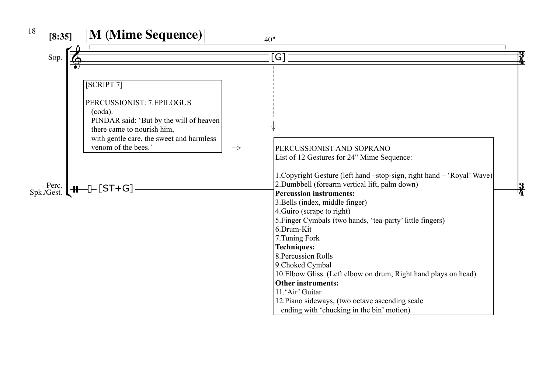| 18<br>[8:35]        | M (Mime Sequence)                                                                                                                                                                                                                       | 40"                                                                                                                                                                                                                                                                                                                                                                                                                                                                                                                                                                                                                                                                                        |                |
|---------------------|-----------------------------------------------------------------------------------------------------------------------------------------------------------------------------------------------------------------------------------------|--------------------------------------------------------------------------------------------------------------------------------------------------------------------------------------------------------------------------------------------------------------------------------------------------------------------------------------------------------------------------------------------------------------------------------------------------------------------------------------------------------------------------------------------------------------------------------------------------------------------------------------------------------------------------------------------|----------------|
| Sop.                |                                                                                                                                                                                                                                         | [G]                                                                                                                                                                                                                                                                                                                                                                                                                                                                                                                                                                                                                                                                                        | $\frac{13}{4}$ |
| Perc.<br>Spk./Gest. | SCRIPT 7<br>PERCUSSIONIST: 7.EPILOGUS<br>$(coda)$ .<br>PINDAR said: 'But by the will of heaven<br>there came to nourish him,<br>with gentle care, the sweet and harmless<br>venom of the bees.'<br>$\rightarrow$<br>$\leftarrow$ [ST+G] | PERCUSSIONIST AND SOPRANO<br><b>List of 12 Gestures for 24" Mime Sequence:</b><br>1. Copyright Gesture (left hand -stop-sign, right hand - 'Royal' Wave)<br>2. Dumbbell (forearm vertical lift, palm down)<br><b>Percussion instruments:</b><br>3. Bells (index, middle finger)<br>$ 4.$ Guiro (scrape to right)<br>5. Finger Cymbals (two hands, 'tea-party' little fingers)<br>6.Drum-Kit<br>7. Tuning Fork<br><b>Techniques:</b><br>8. Percussion Rolls<br>9. Choked Cymbal<br>10. Elbow Gliss. (Left elbow on drum, Right hand plays on head)<br>Other instruments:<br>11.'Air' Guitar<br>12. Piano sideways, (two octave ascending scale<br>ending with 'chucking in the bin' motion) | $\frac{3}{4}$  |